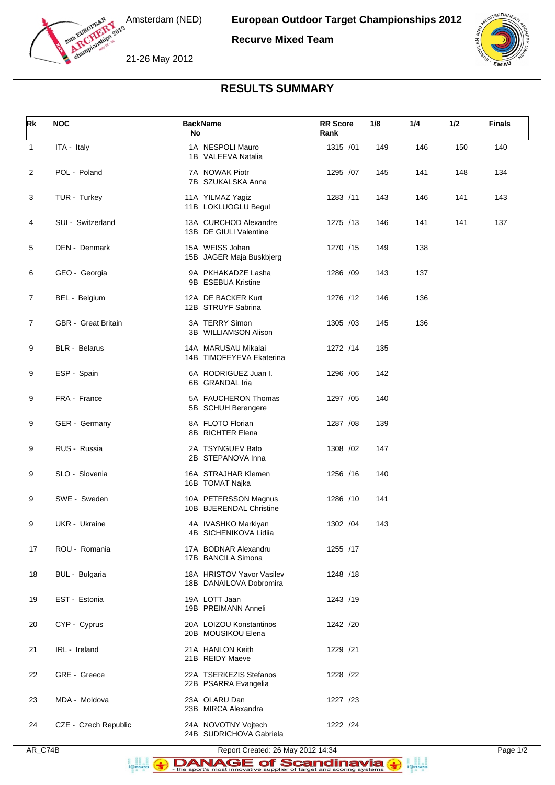

Amsterdam (NED)

**Recurve Mixed Team**

21-26 May 2012



## **RESULTS SUMMARY**

| Rk             | <b>NOC</b>           | <b>BackName</b><br>No                                | <b>RR</b> Score<br>Rank | 1/8 | 1/4 | 1/2 | <b>Finals</b> |
|----------------|----------------------|------------------------------------------------------|-------------------------|-----|-----|-----|---------------|
| $\mathbf{1}$   | ITA - Italy          | 1A NESPOLI Mauro<br>1B VALEEVA Natalia               | 1315 /01                | 149 | 146 | 150 | 140           |
| 2              | POL - Poland         | 7A NOWAK Piotr<br>7B SZUKALSKA Anna                  | 1295 /07                | 145 | 141 | 148 | 134           |
| 3              | TUR - Turkey         | 11A YILMAZ Yagiz<br>11B LOKLUOGLU Begul              | 1283 /11                | 143 | 146 | 141 | 143           |
| 4              | SUI - Switzerland    | 13A CURCHOD Alexandre<br>13B DE GIULI Valentine      | 1275 /13                | 146 | 141 | 141 | 137           |
| 5              | DEN - Denmark        | 15A WEISS Johan<br>15B JAGER Maja Buskbjerg          | 1270 /15                | 149 | 138 |     |               |
| 6              | GEO - Georgia        | 9A PKHAKADZE Lasha<br>9B ESEBUA Kristine             | 1286 /09                | 143 | 137 |     |               |
| $\overline{7}$ | BEL - Belgium        | 12A DE BACKER Kurt<br>12B STRUYF Sabrina             | 1276 /12                | 146 | 136 |     |               |
| 7              | GBR - Great Britain  | 3A TERRY Simon<br>3B WILLIAMSON Alison               | 1305 /03                | 145 | 136 |     |               |
| 9              | <b>BLR</b> - Belarus | 14A MARUSAU Mikalai<br>14B TIMOFEYEVA Ekaterina      | 1272 /14                | 135 |     |     |               |
| 9              | ESP - Spain          | 6A RODRIGUEZ Juan I.<br>6B GRANDAL Iria              | 1296 / 06               | 142 |     |     |               |
| 9              | FRA - France         | 5A FAUCHERON Thomas<br>5B SCHUH Berengere            | 1297 / 05               | 140 |     |     |               |
| 9              | GER - Germany        | 8A FLOTO Florian<br>8B RICHTER Elena                 | 1287 / 08               | 139 |     |     |               |
| 9              | RUS - Russia         | 2A TSYNGUEV Bato<br>2B STEPANOVA Inna                | 1308 /02                | 147 |     |     |               |
| 9              | SLO - Slovenia       | 16A STRAJHAR Klemen<br>16B TOMAT Najka               | 1256 /16                | 140 |     |     |               |
| 9              | SWE - Sweden         | 10A PETERSSON Magnus<br>10B BJERENDAL Christine      | 1286 /10                | 141 |     |     |               |
| 9              | <b>UKR</b> - Ukraine | 4A IVASHKO Markiyan<br>4B SICHENIKOVA Lidiia         | 1302 /04                | 143 |     |     |               |
| 17             | ROU - Romania        | 17A BODNAR Alexandru<br>17B BANCILA Simona           | 1255 /17                |     |     |     |               |
| 18             | BUL - Bulgaria       | 18A HRISTOV Yavor Vasilev<br>18B DANAILOVA Dobromira | 1248 /18                |     |     |     |               |
| 19             | EST - Estonia        | 19A LOTT Jaan<br>19B PREIMANN Anneli                 | 1243 /19                |     |     |     |               |
| 20             | CYP - Cyprus         | 20A LOIZOU Konstantinos<br>20B MOUSIKOU Elena        | 1242 /20                |     |     |     |               |
| 21             | IRL - Ireland        | 21A HANLON Keith<br>21B REIDY Maeve                  | 1229 /21                |     |     |     |               |
| 22             | GRE - Greece         | 22A TSERKEZIS Stefanos<br>22B PSARRA Evangelia       | 1228 /22                |     |     |     |               |
| 23             | MDA - Moldova        | 23A OLARU Dan<br>23B MIRCA Alexandra                 | 1227 /23                |     |     |     |               |
| 24             | CZE - Czech Republic | 24A NOVOTNY Vojtech<br>24B SUDRICHOVA Gabriela       | 1222 /24                |     |     |     |               |